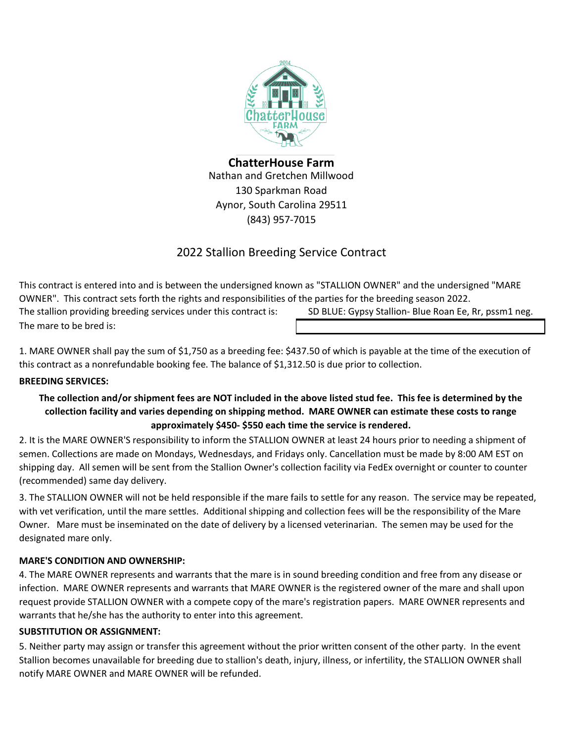

**ChatterHouse Farm** Nathan and Gretchen Millwood 130 Sparkman Road Aynor, South Carolina 29511 (843) 957-7015

# 2022 Stallion Breeding Service Contract

The mare to be bred is: This contract is entered into and is between the undersigned known as "STALLION OWNER" and the undersigned "MARE OWNER". This contract sets forth the rights and responsibilities of the parties for the breeding season 2022. The stallion providing breeding services under this contract is: SD BLUE: Gypsy Stallion- Blue Roan Ee, Rr, pssm1 neg.

1. MARE OWNER shall pay the sum of \$1,750 as a breeding fee: \$437.50 of which is payable at the time of the execution of this contract as a nonrefundable booking fee. The balance of \$1,312.50 is due prior to collection.

## **BREEDING SERVICES:**

## **The collection and/or shipment fees are NOT included in the above listed stud fee. This fee is determined by the collection facility and varies depending on shipping method. MARE OWNER can estimate these costs to range approximately \$450- \$550 each time the service is rendered.**

2. It is the MARE OWNER'S responsibility to inform the STALLION OWNER at least 24 hours prior to needing a shipment of semen. Collections are made on Mondays, Wednesdays, and Fridays only. Cancellation must be made by 8:00 AM EST on shipping day. All semen will be sent from the Stallion Owner's collection facility via FedEx overnight or counter to counter (recommended) same day delivery.

3. The STALLION OWNER will not be held responsible if the mare fails to settle for any reason. The service may be repeated, with vet verification, until the mare settles. Additional shipping and collection fees will be the responsibility of the Mare Owner. Mare must be inseminated on the date of delivery by a licensed veterinarian. The semen may be used for the designated mare only.

## **MARE'S CONDITION AND OWNERSHIP:**

4. The MARE OWNER represents and warrants that the mare is in sound breeding condition and free from any disease or infection. MARE OWNER represents and warrants that MARE OWNER is the registered owner of the mare and shall upon request provide STALLION OWNER with a compete copy of the mare's registration papers. MARE OWNER represents and warrants that he/she has the authority to enter into this agreement.

## **SUBSTITUTION OR ASSIGNMENT:**

5. Neither party may assign or transfer this agreement without the prior written consent of the other party. In the event Stallion becomes unavailable for breeding due to stallion's death, injury, illness, or infertility, the STALLION OWNER shall notify MARE OWNER and MARE OWNER will be refunded.